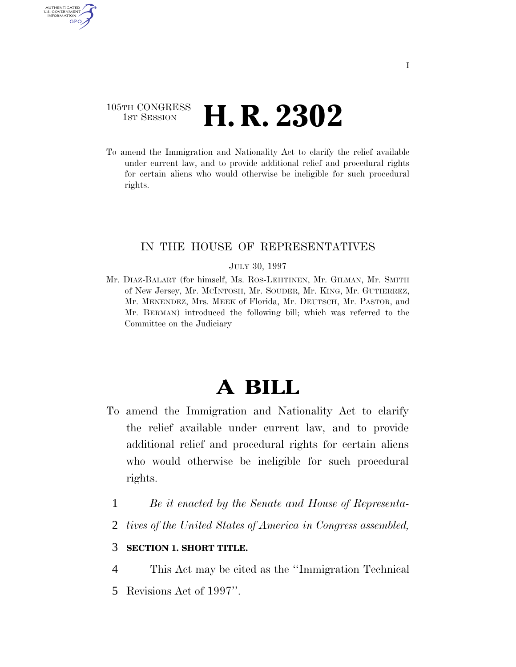# 105TH CONGRESS **1st Session H. R. 2302**

AUTHENTICATED U.S. GOVERNMENT GPO

> To amend the Immigration and Nationality Act to clarify the relief available under current law, and to provide additional relief and procedural rights for certain aliens who would otherwise be ineligible for such procedural rights.

## IN THE HOUSE OF REPRESENTATIVES

#### JULY 30, 1997

Mr. DIAZ-BALART (for himself, Ms. ROS-LEHTINEN, Mr. GILMAN, Mr. SMITH of New Jersey, Mr. MCINTOSH, Mr. SOUDER, Mr. KING, Mr. GUTIERREZ, Mr. MENENDEZ, Mrs. MEEK of Florida, Mr. DEUTSCH, Mr. PASTOR, and Mr. BERMAN) introduced the following bill; which was referred to the Committee on the Judiciary

# **A BILL**

- To amend the Immigration and Nationality Act to clarify the relief available under current law, and to provide additional relief and procedural rights for certain aliens who would otherwise be ineligible for such procedural rights.
	- 1 *Be it enacted by the Senate and House of Representa-*
	- 2 *tives of the United States of America in Congress assembled,*

### 3 **SECTION 1. SHORT TITLE.**

- 4 This Act may be cited as the ''Immigration Technical
- 5 Revisions Act of 1997''.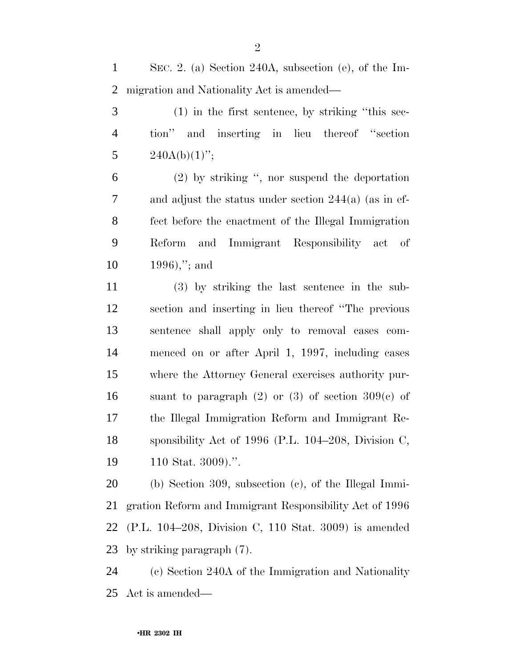SEC. 2. (a) Section 240A, subsection (e), of the Im-migration and Nationality Act is amended—

 (1) in the first sentence, by striking ''this sec- tion'' and inserting in lieu thereof ''section 5  $240A(b)(1)$ ";

 (2) by striking '', nor suspend the deportation and adjust the status under section 244(a) (as in ef- fect before the enactment of the Illegal Immigration Reform and Immigrant Responsibility act of 1996),''; and

 (3) by striking the last sentence in the sub- section and inserting in lieu thereof ''The previous sentence shall apply only to removal cases com- menced on or after April 1, 1997, including cases where the Attorney General exercises authority pur-16 suant to paragraph  $(2)$  or  $(3)$  of section  $309(e)$  of the Illegal Immigration Reform and Immigrant Re- sponsibility Act of 1996 (P.L. 104–208, Division C, 110 Stat. 3009).''.

 (b) Section 309, subsection (c), of the Illegal Immi- gration Reform and Immigrant Responsibility Act of 1996 (P.L. 104–208, Division C, 110 Stat. 3009) is amended by striking paragraph (7).

 (c) Section 240A of the Immigration and Nationality Act is amended—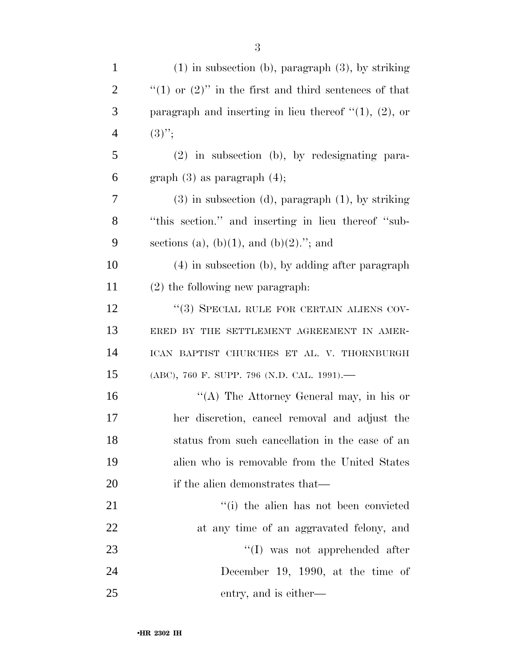| $\mathbf{1}$   | $(1)$ in subsection (b), paragraph $(3)$ , by striking     |
|----------------|------------------------------------------------------------|
| $\overline{2}$ | "(1) or $(2)$ " in the first and third sentences of that   |
| 3              | paragraph and inserting in lieu thereof $\lq(1)$ , (2), or |
| $\overline{4}$ | $(3)$ ";                                                   |
| 5              | $(2)$ in subsection (b), by redesignating para-            |
| 6              | graph $(3)$ as paragraph $(4)$ ;                           |
| 7              | $(3)$ in subsection $(d)$ , paragraph $(1)$ , by striking  |
| 8              | "this section." and inserting in lieu thereof "sub-        |
| 9              | sections (a), (b)(1), and (b)(2)."; and                    |
| $10\,$         | $(4)$ in subsection (b), by adding after paragraph         |
| 11             | $(2)$ the following new paragraph.                         |
| 12             | "(3) SPECIAL RULE FOR CERTAIN ALIENS COV-                  |
| 13             | ERED BY THE SETTLEMENT AGREEMENT IN AMER-                  |
| 14             | ICAN BAPTIST CHURCHES ET AL. V. THORNBURGH                 |
| 15             | (ABC), 760 F. SUPP. 796 (N.D. CAL. 1991).-                 |
| 16             | "(A) The Attorney General may, in his or                   |
| 17             | her discretion, cancel removal and adjust the              |
| 18             | status from such cancellation in the case of an            |
| 19             | alien who is removable from the United States              |
| 20             | if the alien demonstrates that—                            |
| 21             | "(i) the alien has not been convicted                      |
| 22             | at any time of an aggravated felony, and                   |
| 23             | $\lq\lq$ was not apprehended after                         |
| 24             | December 19, 1990, at the time of                          |
| 25             | entry, and is either—                                      |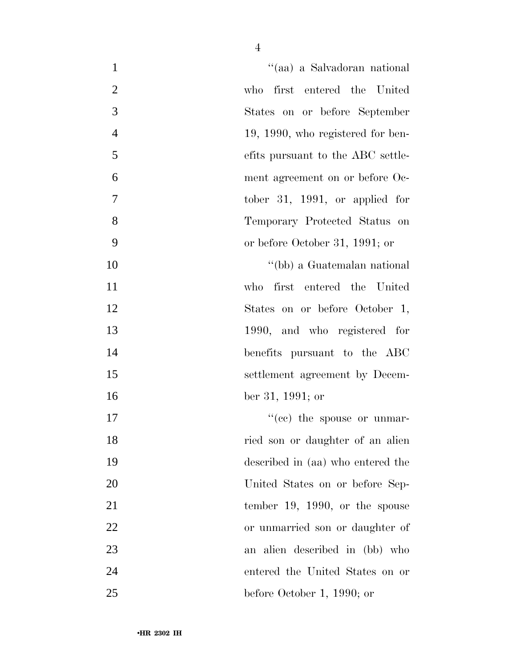| "(aa) a Salvadoran national<br>$\mathbf{1}$         |
|-----------------------------------------------------|
| $\mathbf{2}$<br>who first entered the United        |
| 3<br>States on or before September                  |
| $\overline{4}$<br>19, 1990, who registered for ben- |
| 5<br>efits pursuant to the ABC settle-              |
| 6<br>ment agreement on or before Oc-                |
| $\overline{7}$<br>tober 31, 1991, or applied for    |
| 8<br>Temporary Protected Status on                  |
| 9<br>or before October 31, 1991; or                 |
| 10<br>"(bb) a Guatemalan national                   |
| 11<br>first entered the United<br>who               |
| 12<br>States on or before October 1,                |
| 13<br>1990, and who registered for                  |
| 14<br>benefits pursuant to the ABC                  |
| 15<br>settlement agreement by Decem-                |
| 16<br>ber 31, 1991; or                              |
| $f''(ce)$ the spouse or unmar-<br>17                |
| 18<br>ried son or daughter of an alien              |
| 19<br>described in (aa) who entered the             |
| 20<br>United States on or before Sep-               |
| 21<br>tember 19, 1990, or the spouse                |
| 22<br>or unmarried son or daughter of               |
| 23<br>an alien described in (bb) who                |
| 24<br>entered the United States on or               |
| 25<br>before October 1, 1990; or                    |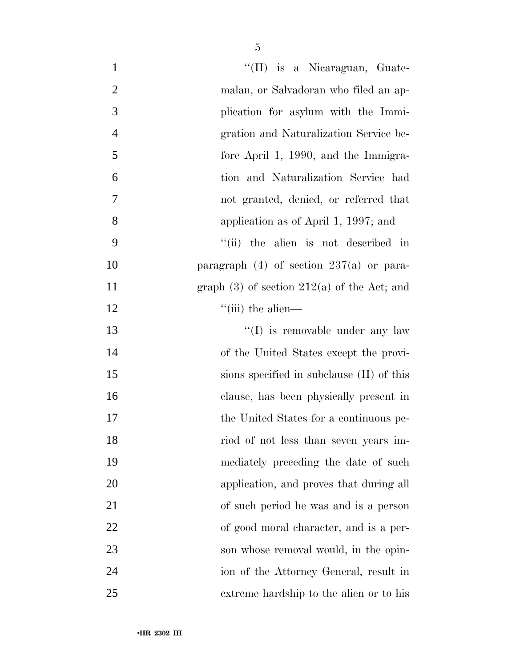| $\mathbf{1}$   | "(II) is a Nicaraguan, Guate-                   |
|----------------|-------------------------------------------------|
| $\overline{2}$ | malan, or Salvadoran who filed an ap-           |
| 3              | plication for asylum with the Immi-             |
| $\overline{4}$ | gration and Naturalization Service be-          |
| 5              | fore April 1, 1990, and the Immigra-            |
| 6              | tion and Naturalization Service had             |
| $\overline{7}$ | not granted, denied, or referred that           |
| 8              | application as of April 1, 1997; and            |
| 9              | "(ii) the alien is not described in             |
| 10             | paragraph $(4)$ of section 237(a) or para-      |
| 11             | graph $(3)$ of section $212(a)$ of the Act; and |
| 12             | $\lq$ <sup>"</sup> (iii) the alien—             |
| 13             | $\lq\lq$ (I) is removable under any law         |
| 14             | of the United States except the provi-          |
| 15             | sions specified in subclause (II) of this       |
| 16             | clause, has been physically present in          |
| 17             | the United States for a continuous pe-          |
| 18             | riod of not less than seven years im-           |
| 19             | mediately preceding the date of such            |
| 20             | application, and proves that during all         |
| 21             | of such period he was and is a person           |
| 22             | of good moral character, and is a per-          |
| 23             | son whose removal would, in the opin-           |
| 24             | ion of the Attorney General, result in          |
| 25             | extreme hardship to the alien or to his         |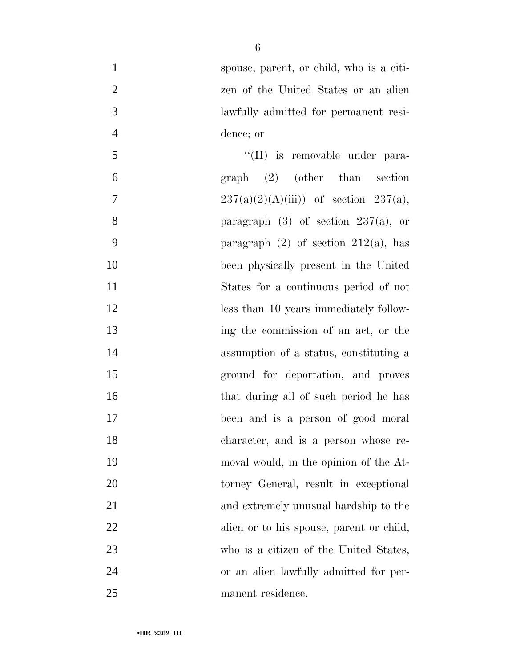| $\mathbf{1}$   | spouse, parent, or child, who is a citi-  |
|----------------|-------------------------------------------|
| $\mathbf{2}$   | zen of the United States or an alien      |
| 3              | lawfully admitted for permanent resi-     |
| $\overline{4}$ | dence; or                                 |
| 5              | "(II) is removable under para-            |
| 6              | $graph$ (2) (other than section           |
| $\tau$         | $237(a)(2)(A(iii))$ of section $237(a)$ , |
| 8              | paragraph $(3)$ of section $237(a)$ , or  |
| 9              | paragraph $(2)$ of section $212(a)$ , has |
| 10             | been physically present in the United     |
| 11             | States for a continuous period of not     |
| 12             | less than 10 years immediately follow-    |
| 13             | ing the commission of an act, or the      |
| 14             | assumption of a status, constituting a    |
| 15             | ground for deportation, and proves        |
| 16             | that during all of such period he has     |
| 17             | been and is a person of good moral        |
| 18             | character, and is a person whose re-      |
| 19             | moval would, in the opinion of the At-    |
| 20             | torney General, result in exceptional     |
| 21             | and extremely unusual hardship to the     |
| 22             | alien or to his spouse, parent or child,  |
| 23             | who is a citizen of the United States,    |
| 24             | or an alien lawfully admitted for per-    |
| 25             | manent residence.                         |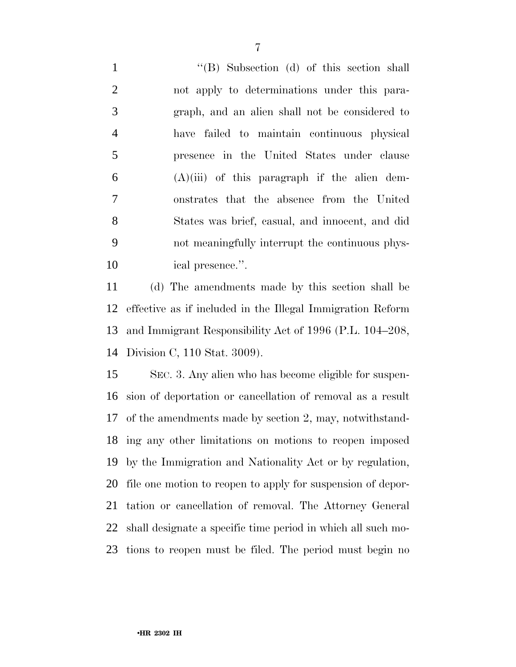1 ''(B) Subsection (d) of this section shall not apply to determinations under this para- graph, and an alien shall not be considered to have failed to maintain continuous physical presence in the United States under clause (A)(iii) of this paragraph if the alien dem- onstrates that the absence from the United States was brief, casual, and innocent, and did not meaningfully interrupt the continuous phys-ical presence.''.

 (d) The amendments made by this section shall be effective as if included in the Illegal Immigration Reform and Immigrant Responsibility Act of 1996 (P.L. 104–208, Division C, 110 Stat. 3009).

 SEC. 3. Any alien who has become eligible for suspen- sion of deportation or cancellation of removal as a result of the amendments made by section 2, may, notwithstand- ing any other limitations on motions to reopen imposed by the Immigration and Nationality Act or by regulation, file one motion to reopen to apply for suspension of depor- tation or cancellation of removal. The Attorney General shall designate a specific time period in which all such mo-tions to reopen must be filed. The period must begin no